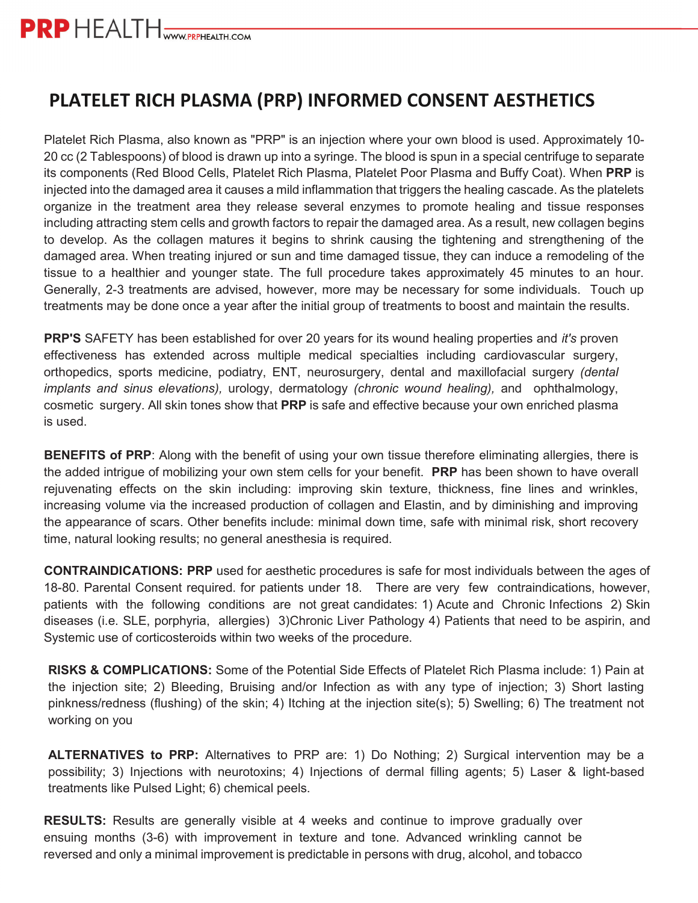## **PLATELET RICH PLASMA (PRP) INFORMED CONSENT AESTHETICS**

Platelet Rich Plasma, also known as "PRP" is an injection where your own blood is used. Approximately 10- 20 cc (2 Tablespoons) of blood is drawn up into a syringe. The blood is spun in a special centrifuge to separate its components (Red Blood Cells, Platelet Rich Plasma, Platelet Poor Plasma and Buffy Coat). When **PRP** is injected into the damaged area it causes a mild inflammation that triggers the healing cascade. As the platelets organize in the treatment area they release several enzymes to promote healing and tissue responses including attracting stem cells and growth factors to repair the damaged area. As a result, new collagen begins to develop. As the collagen matures it begins to shrink causing the tightening and strengthening of the damaged area. When treating injured or sun and time damaged tissue, they can induce a remodeling of the tissue to a healthier and younger state. The full procedure takes approximately 45 minutes to an hour. Generally, 2-3 treatments are advised, however, more may be necessary for some individuals. Touch up treatments may be done once a year after the initial group of treatments to boost and maintain the results.

**PRP'S** SAFETY has been established for over 20 years for its wound healing properties and *it's* proven effectiveness has extended across multiple medical specialties including cardiovascular surgery, orthopedics, sports medicine, podiatry, ENT, neurosurgery, dental and maxillofacial surgery *(dental implants and sinus elevations),* urology, dermatology *(chronic wound healing),* and ophthalmology, cosmetic surgery. All skin tones show that **PRP** is safe and effective because your own enriched plasma is used.

**BENEFITS of PRP**: Along with the benefit of using your own tissue therefore eliminating allergies, there is the added intrigue of mobilizing your own stem cells for your benefit. **PRP** has been shown to have overall rejuvenating effects on the skin including: improving skin texture, thickness, fine lines and wrinkles, increasing volume via the increased production of collagen and Elastin, and by diminishing and improving the appearance of scars. Other benefits include: minimal down time, safe with minimal risk, short recovery time, natural looking results; no general anesthesia is required.

**CONTRAINDICATIONS: PRP** used for aesthetic procedures is safe for most individuals between the ages of 18-80. Parental Consent required. for patients under 18. There are very few contraindications, however, patients with the following conditions are not great candidates: 1) Acute and Chronic Infections 2) Skin diseases (i.e. SLE, porphyria, allergies) 3)Chronic Liver Pathology 4) Patients that need to be aspirin, and Systemic use of corticosteroids within two weeks of the procedure.

**RISKS & COMPLICATIONS:** Some of the Potential Side Effects of Platelet Rich Plasma include: 1) Pain at the injection site; 2) Bleeding, Bruising and/or Infection as with any type of injection; 3) Short lasting pinkness/redness (flushing) of the skin; 4) Itching at the injection site(s); 5) Swelling; 6) The treatment not working on you

**ALTERNATIVES to PRP:** Alternatives to PRP are: 1) Do Nothing; 2) Surgical intervention may be a possibility; 3) Injections with neurotoxins; 4) Injections of dermal filling agents; 5) Laser & light-based treatments like Pulsed Light; 6) chemical peels.

**RESULTS:** Results are generally visible at 4 weeks and continue to improve gradually over ensuing months (3-6) with improvement in texture and tone. Advanced wrinkling cannot be reversed and only a minimal improvement is predictable in persons with drug, alcohol, and tobacco